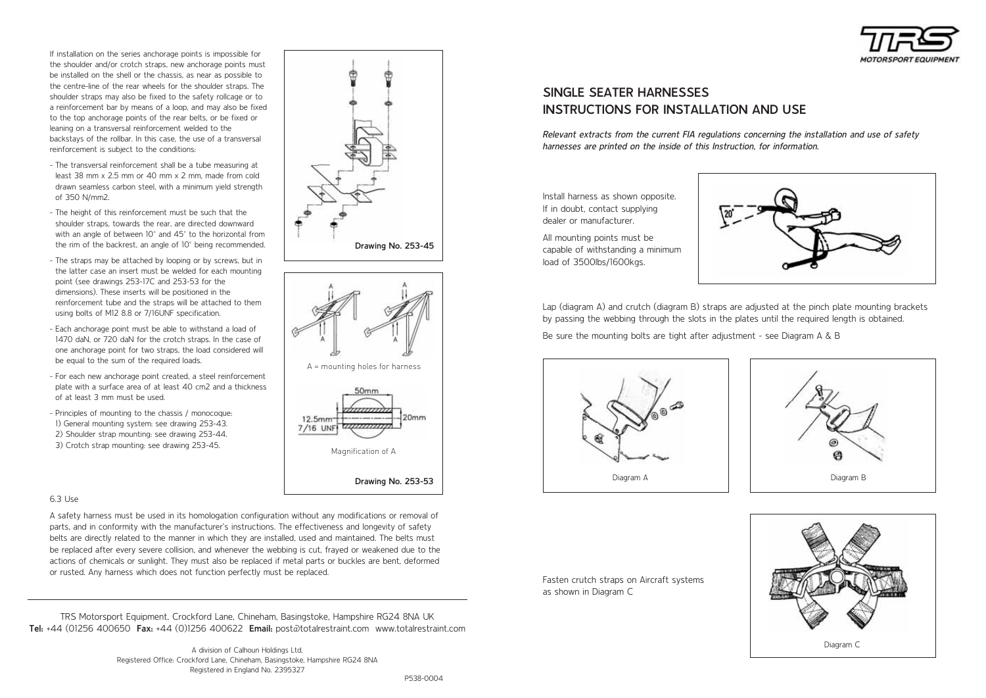

If installation on the series anchorage points is impossible for the shoulder and/or crotch straps, new anchorage points must be installed on the shell or the chassis, as near as possible to the centre-line of the rear wheels for the shoulder straps. The shoulder straps may also be fixed to the safety rollcage or to a reinforcement bar by means of a loop, and may also be fixed to the top anchorage points of the rear belts, or be fixed or leaning on a transversal reinforcement welded to the backstays of the rollbar. In this case, the use of a transversal reinforcement is subject to the conditions:

- The transversal reinforcement shall be a tube measuring at least 38 mm x 2.5 mm or 40 mm x 2 mm, made from cold drawn seamless carbon steel, with a minimum yield strength of 350 N/mm2.
- The height of this reinforcement must be such that the shoulder straps, towards the rear, are directed downward with an angle of between 10° and 45° to the horizontal from the rim of the backrest, an angle of 10° being recommended.
- The straps may be attached by looping or by screws, but in the latter case an insert must be welded for each mounting point (see drawings 253-17C and 253-53 for the dimensions). These inserts will be positioned in the reinforcement tube and the straps will be attached to them using bolts of M12 8.8 or 7/16UNF specification.
- Each anchorage point must be able to withstand a load of 1470 daN, or 720 daN for the crotch straps. In the case of one anchorage point for two straps, the load considered will be equal to the sum of the required loads.
- For each new anchorage point created, a steel reinforcement plate with a surface area of at least 40 cm2 and a thickness of at least 3 mm must be used.
- Principles of mounting to the chassis / monocoque: 1) General mounting system: see drawing 253-43. 2) Shoulder strap mounting: see drawing 253-44. 3) Crotch strap mounting: see drawing 253-45.

### 6.3 Use

A safety harness must be used in its homologation configuration without any modifications or removal of parts, and in conformity with the manufacturer's instructions. The effectiveness and longevity of safety belts are directly related to the manner in which they are installed, used and maintained. The belts must be replaced after every severe collision, and whenever the webbing is cut, frayed or weakened due to the actions of chemicals or sunlight. They must also be replaced if metal parts or buckles are bent, deformed or rusted. Any harness which does not function perfectly must be replaced.

TRS Motorsport Equipment, Crockford Lane, Chineham, Basingstoke, Hampshire RG24 8NA UK **Tel:** +44 (01256 400650 **Fax:** +44 (0)1256 400622 **Email:** post@totalrestraint.com www.totalrestraint.com

> A division of Calhoun Holdings Ltd. Registered Office: Crockford Lane, Chineham, Basingstoke, Hampshire RG24 8NA Registered in England No. 2395327

A = mounting holes for harness

Magnification of A

 $12.5mm$ 7/16 UNF

**Drawing No. 253-53**

 $Onm$ 

**Drawing No. 253-45**

# **SINGLE SEATER HARNESSES INSTRUCTIONS FOR INSTALLATION AND USE**

Relevant extracts from the current FIA regulations concerning the installation and use of safety harnesses are printed on the inside of this Instruction, for information.

Install harness as shown opposite. If in doubt, contact supplying dealer or manufacturer.

All mounting points must be capable of withstanding a minimum load of 3500lbs/1600kgs.



Lap (diagram A) and crutch (diagram B) straps are adjusted at the pinch plate mounting brackets by passing the webbing through the slots in the plates until the required length is obtained.

Be sure the mounting bolts are tight after adjustment - see Diagram A & B





Fasten crutch straps on Aircraft systems as shown in Diagram C